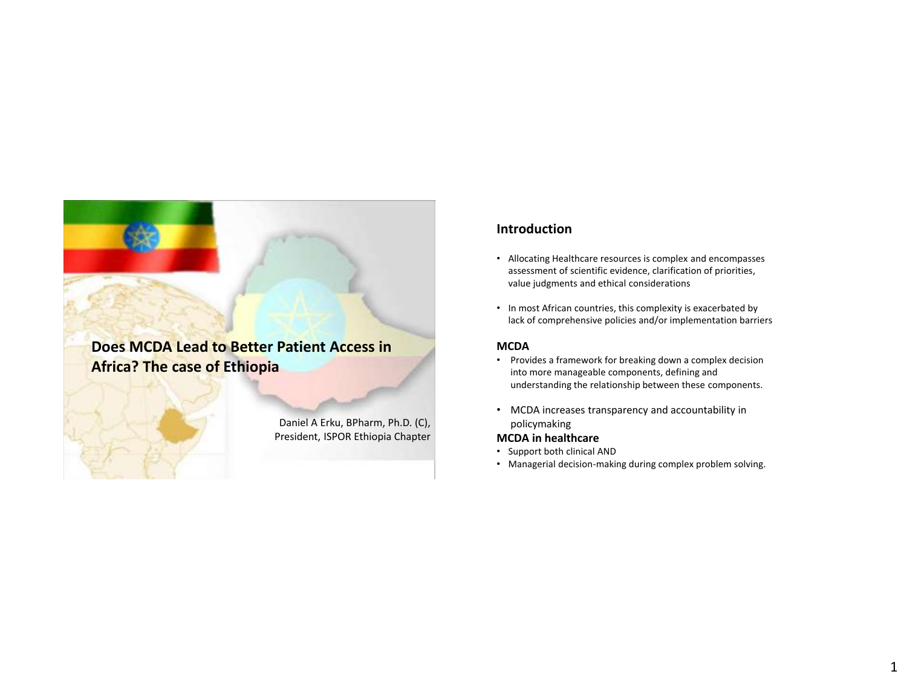## **Does MCDA Lead to Better Patient Access in Africa? The case of Ethiopia**

Daniel A Erku, BPharm, Ph.D. (C), President, ISPOR Ethiopia Chapter

### **Introduction**

- Allocating Healthcare resources is complex and encompasses assessment of scientific evidence, clarification of priorities, value judgments and ethical considerations
- In most African countries, this complexity is exacerbated by lack of comprehensive policies and/or implementation barriers

#### **MCDA**

- Provides a framework for breaking down a complex decision into more manageable components, defining and understanding the relationship between these components.
- MCDA increases transparency and accountability in policymaking

#### **MCDA in healthcare**

- Support both clinical AND
- Managerial decision-making during complex problem solving.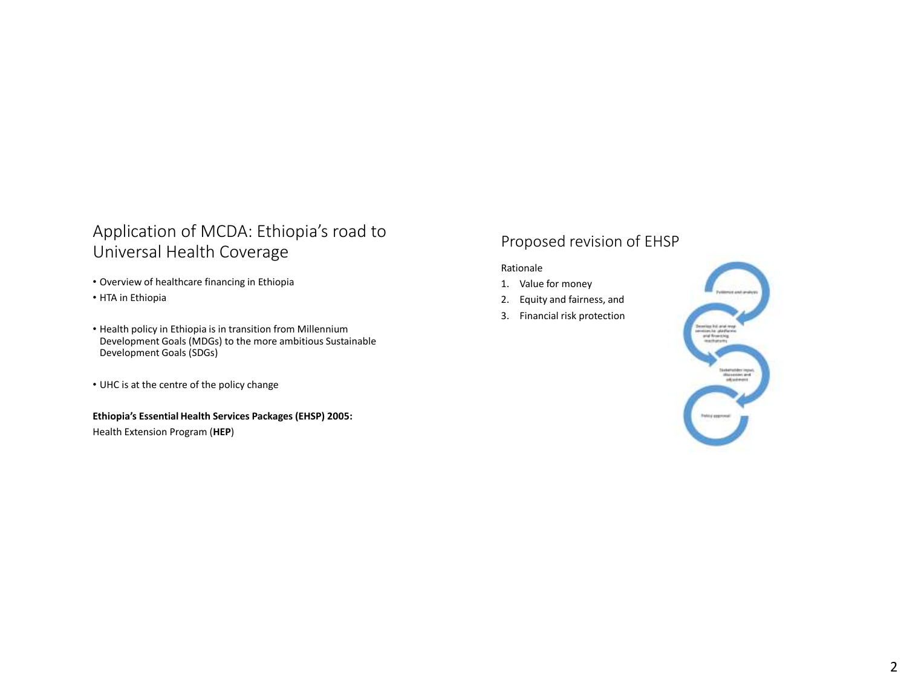## Application of MCDA: Ethiopia's road to Universal Health Coverage

- Overview of healthcare financing in Ethiopia
- HTA in Ethiopia
- Health policy in Ethiopia is in transition from Millennium Development Goals (MDGs) to the more ambitious Sustainable Development Goals (SDGs)
- UHC is at the centre of the policy change

#### **Ethiopia's Essential Health Services Packages (EHSP) 2005:**

Health Extension Program (**HEP**)

## Proposed revision of EHSP

#### Rationale

- 1. Value for money
- 2. Equity and fairness, and
- 3. Financial risk protection

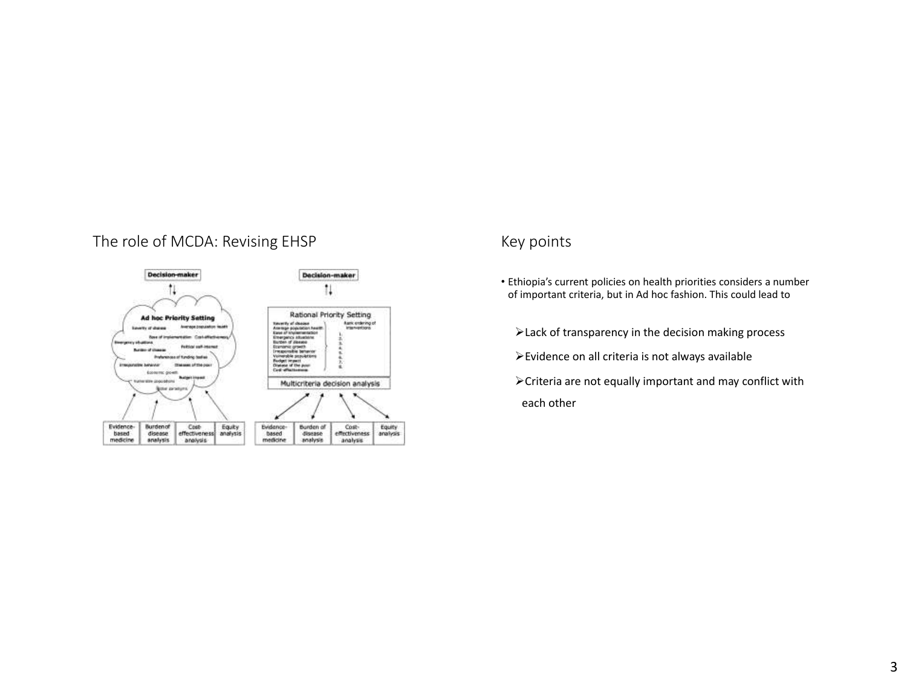## The role of MCDA: Revising EHSP MELL CONTERNATION Review of MCDA: Revising EHSP



- Ethiopia's current policies on health priorities considers a number of important criteria, but in Ad hoc fashion. This could lead to
	- Lack of transparency in the decision making process
	- Evidence on all criteria is not always available
	- Criteria are not equally important and may conflict with each other